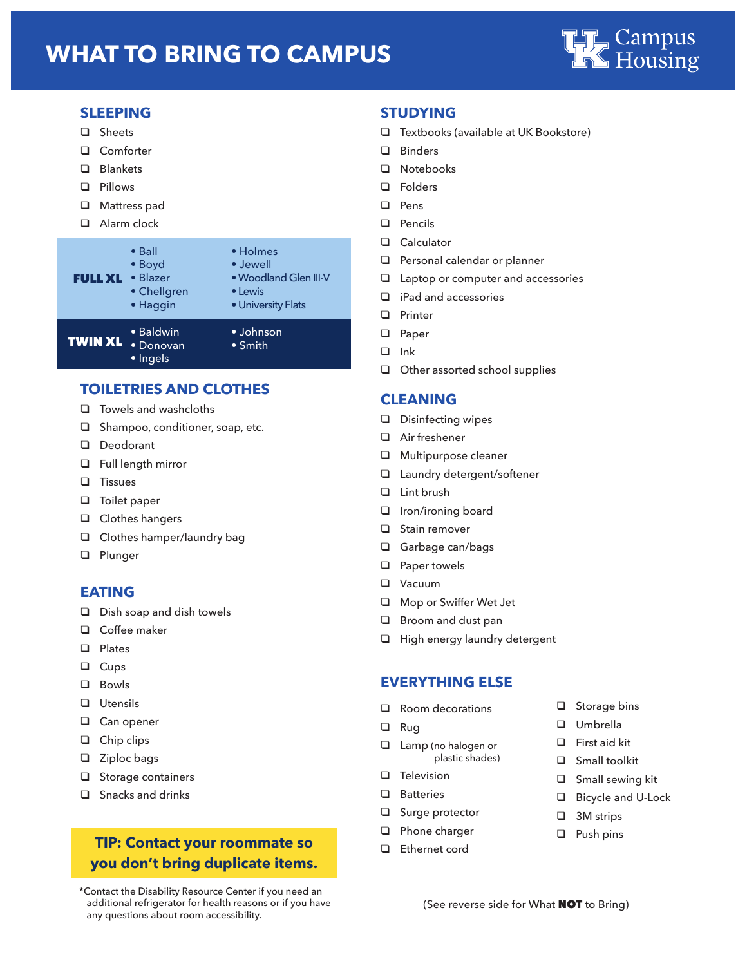## **WHAT TO BRING TO CAMPUS**



#### **SLEEPING**

- **Q** Sheets
- **Q** Comforter
- **Q** Blankets
- **Q** Pillows
- $\Box$  Mattress pad
- **Q** Alarm clock



#### **TOILETRIES AND CLOTHES**

- $\Box$  Towels and washcloths
- $\Box$  Shampoo, conditioner, soap, etc.
- D Deodorant
- **Q** Full length mirror
- **Q** Tissues
- **Q** Toilet paper
- $\Box$  Clothes hangers
- □ Clothes hamper/laundry bag
- **Q** Plunger

#### **EATING**

- $\Box$  Dish soap and dish towels
- □ Coffee maker
- $\Box$  Plates
- **Q** Cups
- q Bowls
- **Q** Utensils
- □ Can opener
- $\Box$  Chip clips
- $\Box$  Ziploc bags
- $\Box$  Storage containers
- $\Box$  Snacks and drinks

### **TIP: Contact your roommate so you don't bring duplicate items.**

 \*Contact the Disability Resource Center if you need an additional refrigerator for health reasons or if you have any questions about room accessibility.

#### **STUDYING**

- $\Box$  Textbooks (available at UK Bookstore)
- **Q** Binders
- **Q** Notebooks
- **Q** Folders
- q Pens
- **Q** Pencils
- **Q** Calculator
- $\Box$  Personal calendar or planner
- $\Box$  Laptop or computer and accessories
- $\Box$  iPad and accessories
- **Q** Printer
- **Q** Paper
- q Ink
- $\Box$  Other assorted school supplies

#### **CLEANING**

- D Disinfecting wipes
- □ Air freshener
- **Q** Multipurpose cleaner
- □ Laundry detergent/softener
- **Q** Lint brush
- $\Box$  Iron/ironing board
- $\Box$  Stain remover
- **Q** Garbage can/bags
- $\Box$  Paper towels
- **Q** Vacuum
- **Q** Mop or Swiffer Wet Jet
- $\Box$  Broom and dust pan
- **Q** High energy laundry detergent

#### **EVERYTHING ELSE**

- $\Box$  Room decorations
- **Q** Rug
- $\Box$  Lamp (no halogen or plastic shades)
- $\Box$  Television
- $\Box$  Batteries
- $\Box$  Surge protector
- **Q** Phone charger
- $\Box$  Ethernet cord
- $\Box$  Storage bins
- □ Umbrella
- $\Box$  First aid kit
- $\Box$  Small toolkit
- $\Box$  Small sewing kit
- □ Bicycle and U-Lock
- $\Box$  3M strips
- $\Box$  Push pins